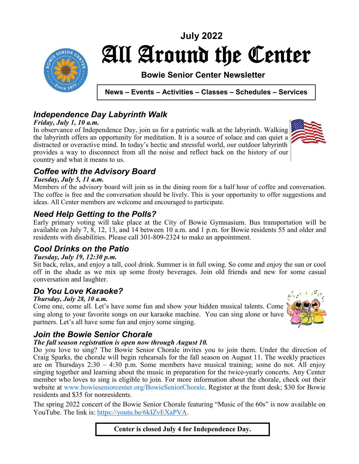

# All Around the Center **July 2022**

### **Bowie Senior Center Newsletter**

**News – Events – Activities – Classes – Schedules – Services** 

### *Independence Day Labyrinth Walk*

#### *Friday, July 1, 10 a.m.*

In observance of Independence Day, join us for a patriotic walk at the labyrinth. Walking the labyrinth offers an opportunity for meditation. It is a source of solace and can quiet a distracted or overactive mind. In today's hectic and stressful world, our outdoor labyrinth provides a way to disconnect from all the noise and reflect back on the history of our country and what it means to us.



### *Coffee with the Advisory Board*

#### *Tuesday, July 5, 11 a.m.*

Members of the advisory board will join us in the dining room for a half hour of coffee and conversation. The coffee is free and the conversation should be lively. This is your opportunity to offer suggestions and ideas. All Center members are welcome and encouraged to participate.

### *Need Help Getting to the Polls?*

Early primary voting will take place at the City of Bowie Gymnasium. Bus transportation will be available on July 7, 8, 12, 13, and 14 between 10 a.m. and 1 p.m. for Bowie residents 55 and older and residents with disabilities. Please call 301-809-2324 to make an appointment.

### *Cool Drinks on the Patio*

#### *Tuesday, July 19, 12:30 p.m.*

Sit back, relax, and enjoy a tall, cool drink. Summer is in full swing. So come and enjoy the sun or cool off in the shade as we mix up some frosty beverages. Join old friends and new for some casual conversation and laughter.

### *Do You Love Karaoke?*

#### *Thursday, July 28, 10 a.m.*

Come one, come all. Let's have some fun and show your hidden musical talents. Come sing along to your favorite songs on our karaoke machine. You can sing alone or have partners. Let's all have some fun and enjoy some singing.



### *Join the Bowie Senior Chorale*

#### *The fall season registration is open now through August 10.*

Do you love to sing? The Bowie Senior Chorale invites you to join them. Under the direction of Craig Sparks, the chorale will begin rehearsals for the fall season on August 11. The weekly practices are on Thursdays 2:30 – 4:30 p.m. Some members have musical training; some do not. All enjoy singing together and learning about the music in preparation for the twice-yearly concerts. Any Center member who loves to sing is eligible to join. For more information about the chorale, check out their website at www.bowieseniorcenter.org/BowieSeniorChorale. Register at the front desk; \$30 for Bowie residents and \$35 for nonresidents.

The spring 2022 concert of the Bowie Senior Chorale featuring "Music of the 60s" is now available on YouTube. The link is: [https://youtu.be/6kIZvEXaPVA.](file:///C:/Users/dahac/AppData/Local/Microsoft/Windows/INetCache/Content.Outlook/07C0CW71/ https:/youtu.be/6kIZvEXaPVA)

**Center is closed July 4 for Independence Day.**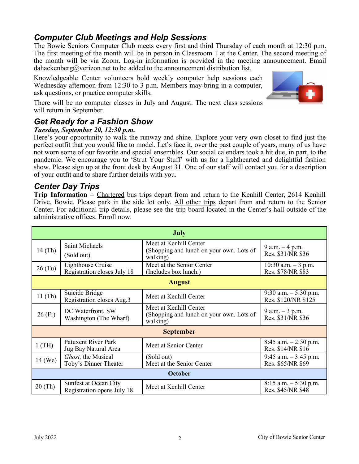### *Computer Club Meetings and Help Sessions*

The Bowie Seniors Computer Club meets every first and third Thursday of each month at 12:30 p.m. The first meeting of the month will be in person in Classroom 1 at the Center. The second meeting of the month will be via Zoom. Log-in information is provided in the meeting announcement. Email dahackenberg@verizon.net to be added to the announcement distribution list.

Knowledgeable Center volunteers hold weekly computer help sessions each Wednesday afternoon from 12:30 to 3 p.m. Members may bring in a computer, ask questions, or practice computer skills.



There will be no computer classes in July and August. The next class sessions will return in September.

### *Get Ready for a Fashion Show*

#### *Tuesday, September 20, 12:30 p.m.*

Here's your opportunity to walk the runway and shine. Explore your very own closet to find just the perfect outfit that you would like to model. Let's face it, over the past couple of years, many of us have not worn some of our favorite and special ensembles. Our social calendars took a hit due, in part, to the pandemic. We encourage you to 'Strut Your Stuff' with us for a lighthearted and delightful fashion show. Please sign up at the front desk by August 31. One of our staff will contact you for a description of your outfit and to share further details with you.

### *Center Day Trips*

**Trip Information –** Chartered bus trips depart from and return to the Kenhill Center, 2614 Kenhill Drive, Bowie. Please park in the side lot only. All other trips depart from and return to the Senior Center. For additional trip details, please see the trip board located in the Center's hall outside of the administrative offices. Enroll now.

| <b>July</b>      |                                                     |                                                                                |                                               |  |  |
|------------------|-----------------------------------------------------|--------------------------------------------------------------------------------|-----------------------------------------------|--|--|
| $14$ (Th)        | Saint Michaels<br>(Sold out)                        | Meet at Kenhill Center<br>(Shopping and lunch on your own. Lots of<br>walking) | 9 a.m. $-4$ p.m.<br>Res. \$31/NR \$36         |  |  |
| $26$ (Tu)        | Lighthouse Cruise<br>Registration closes July 18    | Meet at the Senior Center<br>(Includes box lunch.)                             | $10:30$ a.m. $-3$ p.m.<br>Res. \$78/NR \$83   |  |  |
| <b>August</b>    |                                                     |                                                                                |                                               |  |  |
| $11$ (Th)        | Suicide Bridge<br>Registration closes Aug.3         | Meet at Kenhill Center                                                         | 9:30 a.m. $-5:30$ p.m.<br>Res. \$120/NR \$125 |  |  |
| $26$ (Fr)        | DC Waterfront, SW<br>Washington (The Wharf)         | Meet at Kenhill Center<br>(Shopping and lunch on your own. Lots of<br>walking) | 9 a.m. $-3$ p.m.<br>Res. \$31/NR \$36         |  |  |
| <b>September</b> |                                                     |                                                                                |                                               |  |  |
| $1$ (TH)         | <b>Patuxent River Park</b><br>Jug Bay Natural Area  | Meet at Senior Center                                                          | $8:45$ a.m. $-2:30$ p.m.<br>Res. \$14/NR \$16 |  |  |
| $14$ (We)        | Ghost, the Musical<br>Toby's Dinner Theater         | (Sold out)<br>Meet at the Senior Center                                        | 9:45 a.m. $-3:45$ p.m.<br>Res. \$65/NR \$69   |  |  |
| October          |                                                     |                                                                                |                                               |  |  |
| $20$ (Th)        | Sunfest at Ocean City<br>Registration opens July 18 | Meet at Kenhill Center                                                         | $8:15$ a.m. $-5:30$ p.m.<br>Res. \$45/NR \$48 |  |  |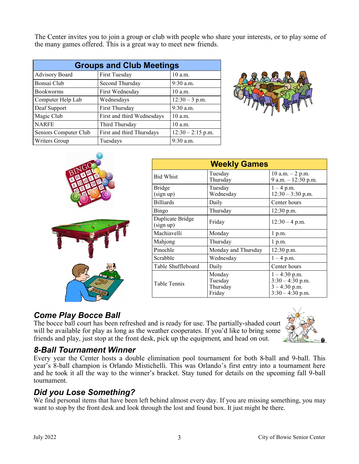The Center invites you to join a group or club with people who share your interests, or to play some of the many games offered. This is a great way to meet new friends.

| <b>Groups and Club Meetings</b> |                            |                     |  |
|---------------------------------|----------------------------|---------------------|--|
| Advisory Board                  | First Tuesday              | 10 a.m.             |  |
| Bonsai Club                     | Second Thursday            | $9:30$ a.m.         |  |
| <b>Bookworms</b>                | First Wednesday            | $10$ a.m.           |  |
| Computer Help Lab               | Wednesdays                 | $12:30 - 3$ p.m.    |  |
| Deaf Support                    | First Thursday             | $9:30$ a.m.         |  |
| Magic Club                      | First and third Wednesdays | $10$ a.m.           |  |
| <b>NARFE</b>                    | Third Thursday             | 10 a.m.             |  |
| Seniors Computer Club           | First and third Thursdays  | $12:30 - 2:15$ p.m. |  |
| Writers Group                   | Tuesdays                   | $9:30$ a.m.         |  |







| <b>Weekly Games</b>           |                                         |                                                                                |  |
|-------------------------------|-----------------------------------------|--------------------------------------------------------------------------------|--|
| <b>Bid Whist</b>              | Tuesday<br>Thursday                     | 10 a.m. $-$ 2 p.m.<br>9 a.m. - 12:30 p.m.                                      |  |
| Bridge<br>(sign up)           | Tuesday<br>Wednesday                    | $1 - 4$ p.m.<br>$12:30 - 3:30$ p.m.                                            |  |
| <b>Billiards</b>              | Daily                                   | Center hours                                                                   |  |
| Bingo                         | Thursday                                | $12:30$ p.m.                                                                   |  |
| Duplicate Bridge<br>(sign up) | Friday                                  | $12:30 - 4$ p.m.                                                               |  |
| Machiavelli                   | Monday                                  | $1$ p.m.                                                                       |  |
| Mahjong                       | Thursday                                | 1 p.m.                                                                         |  |
| Pinochle                      | Monday and Thursday                     | 12:30 p.m.                                                                     |  |
| Scrabble                      | Wednesday                               | $1 - 4$ p.m.                                                                   |  |
| Table Shuffleboard            | Daily                                   | Center hours                                                                   |  |
| Table Tennis                  | Monday<br>Tuesday<br>Thursday<br>Friday | $1 - 4:30$ p.m.<br>$3:30 - 4:30$ p.m.<br>$3 - 4:30$ p.m.<br>$3:30 - 4:30$ p.m. |  |

### *Come Play Bocce Ball*

The bocce ball court has been refreshed and is ready for use. The partially-shaded court will be available for play as long as the weather cooperates. If you'd like to bring some friends and play, just stop at the front desk, pick up the equipment, and head on out.



### *8-Ball Tournament Winner*

Every year the Center hosts a double elimination pool tournament for both 8-ball and 9-ball. This year's 8-ball champion is Orlando Mistichelli. This was Orlando's first entry into a tournament here and he took it all the way to the winner's bracket. Stay tuned for details on the upcoming fall 9-ball tournament.

### *Did you Lose Something?*

We find personal items that have been left behind almost every day. If you are missing something, you may want to stop by the front desk and look through the lost and found box. It just might be there.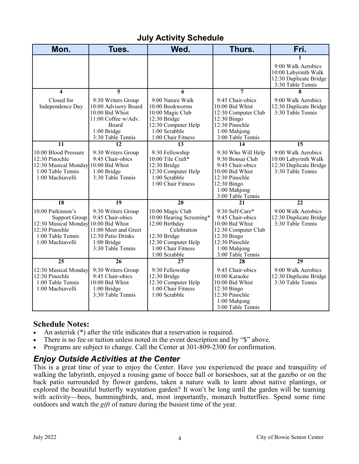### **July Activity Schedule**

| Mon.                                                                                                                                         | Tues.                                                                                                                             | Wed.                                                                                                                                                        | Thurs.                                                                                                                                              | Fri.                                                                                           |
|----------------------------------------------------------------------------------------------------------------------------------------------|-----------------------------------------------------------------------------------------------------------------------------------|-------------------------------------------------------------------------------------------------------------------------------------------------------------|-----------------------------------------------------------------------------------------------------------------------------------------------------|------------------------------------------------------------------------------------------------|
|                                                                                                                                              |                                                                                                                                   |                                                                                                                                                             |                                                                                                                                                     | 1<br>9:00 Walk Aerobics<br>10:00 Labyrinth Walk<br>12:30 Duplicate Bridge<br>3:30 Table Tennis |
| $\overline{\mathbf{4}}$                                                                                                                      | 5                                                                                                                                 | 6                                                                                                                                                           | 7                                                                                                                                                   | 8                                                                                              |
| Closed for<br>Independence Day                                                                                                               | 9:30 Writers Group<br>10:00 Advisory Board<br>10:00 Bid Whist<br>11:00 Coffee w/Adv.<br>Board<br>1:00 Bridge<br>3:30 Table Tennis | 9:00 Nature Walk<br>10:00 Bookworms<br>10:00 Magic Club<br>12:30 Bridge<br>12:30 Computer Help<br>1:00 Scrabble<br>1:00 Chair Fitness                       | 9:45 Chair-obics<br>10:00 Bid Whist<br>12:30 Computer Club<br>12:30 Bingo<br>12:30 Pinochle<br>1:00 Mahjong<br>3:00 Table Tennis                    | 9:00 Walk Aerobics<br>12:30 Duplicate Bridge<br>3:30 Table Tennis                              |
| 11                                                                                                                                           | 12                                                                                                                                | 13                                                                                                                                                          | 14                                                                                                                                                  | $\overline{15}$                                                                                |
| 10:00 Blood Pressure<br>12:30 Pinochle<br>12:30 Musical Monday 10:00 Bid Whist<br>1:00 Table Tennis<br>1:00 Machiavelli                      | 9:30 Writers Group<br>9:45 Chair-obics<br>1:00 Bridge<br>3:30 Table Tennis                                                        | 9:30 Fellowship<br>10:00 Tile Craft*<br>12:30 Bridge<br>12:30 Computer Help<br>$1:00$ Scrabble<br>1:00 Chair Fitness                                        | 9:30 Who Will Help<br>9:30 Bonsai Club<br>9:45 Chair-obics<br>10:00 Bid Whist<br>12:30 Pinochle<br>12:30 Bingo<br>1:00 Mahjong<br>3:00 Table Tennis | 9:00 Walk Aerobics<br>10:00 Labyrinth Walk<br>12:30 Duplicate Bridge<br>3:30 Table Tennis      |
| 18                                                                                                                                           | 19                                                                                                                                | $\overline{20}$                                                                                                                                             | 21                                                                                                                                                  | $\overline{22}$                                                                                |
| 10:00 Parkinson's<br><b>Support Group</b><br>12:30 Musical Monday 10:00 Bid Whist<br>12:30 Pinochle<br>1:00 Table Tennis<br>1:00 Machiavelli | 9:30 Writers Group<br>9:45 Chair-obics<br>11:00 Meet and Greet<br>12:30 Patio Drinks<br>1:00 Bridge<br>3:30 Table Tennis          | 10:00 Magic Club<br>10:00 Hearing Screening*<br>12:00 Birthday<br>Celebration<br>12:30 Bridge<br>12:30 Computer Help<br>1:00 Chair Fitness<br>1:00 Scrabble | 9:30 Self-Care*<br>9:45 Chair-obics<br>10:00 Bid Whist<br>12:30 Computer Club<br>12:30 Bingo<br>12:30 Pinochle<br>1:00 Mahjong<br>3:00 Table Tennis | 9:00 Walk Aerobics<br>12:30 Duplicate Bridge<br>3:30 Table Tennis                              |
| $\overline{25}$                                                                                                                              | 26                                                                                                                                | 27                                                                                                                                                          | 28                                                                                                                                                  | 29                                                                                             |
| 12:30 Musical Monday<br>12:30 Pinochle<br>1:00 Table Tennis<br>1:00 Machiavelli                                                              | 9:30 Writers Group<br>9:45 Chair-obics<br>10:00 Bid Whist<br>1:00 Bridge<br>3:30 Table Tennis                                     | 9:30 Fellowship<br>12:30 Bridge<br>12:30 Computer Help<br>1:00 Chair Fitness<br>1:00 Scrabble                                                               | 9:45 Chair-obics<br>10:00 Karaoke<br>10:00 Bid Whist<br>12:30 Bingo<br>12:30 Pinochle<br>1:00 Mahjong<br>3:00 Table Tennis                          | 9:00 Walk Aerobics<br>12:30 Duplicate Bridge<br>3:30 Table Tennis                              |

#### **Schedule Notes:**

- An asterisk (\*) after the title indicates that a reservation is required.
- There is no fee or tuition unless noted in the event description and by "\$" above.
- Programs are subject to change. Call the Center at 301-809-2300 for confirmation.

### *Enjoy Outside Activities at the Center*

This is a great time of year to enjoy the Center. Have you experienced the peace and tranquility of walking the labyrinth, enjoyed a rousing game of bocce ball or horseshoes, sat at the gazebo or on the back patio surrounded by flower gardens, taken a nature walk to learn about native plantings, or explored the beautiful butterfly waystation garden? It won't be long until the garden will be teaming with activity—bees, hummingbirds, and, most importantly, monarch butterflies. Spend some time outdoors and watch the *gift* of nature during the busiest time of the year.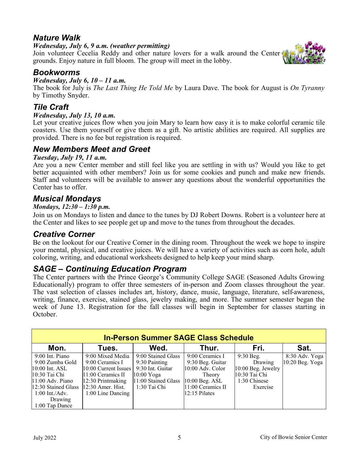### *Nature Walk*

#### *Wednesday, July 6, 9 a.m. (weather permitting)*

Join volunteer Cecelia Reddy and other nature lovers for a walk around the Center grounds. Enjoy nature in full bloom. The group will meet in the lobby.



#### *Wednesday, July 6, 10 – 11 a.m.*

The book for July is *The Last Thing He Told Me* by Laura Dave. The book for August is *On Tyranny*  by Timothy Snyder.

#### *Tile Craft*

#### *Wednesday, July 13, 10 a.m.*

Let your creative juices flow when you join Mary to learn how easy it is to make colorful ceramic tile coasters. Use them yourself or give them as a gift. No artistic abilities are required. All supplies are provided. There is no fee but registration is required.

#### *New Members Meet and Greet*

#### *Tuesday, July 19, 11 a.m.*

Are you a new Center member and still feel like you are settling in with us? Would you like to get better acquainted with other members? Join us for some cookies and punch and make new friends. Staff and volunteers will be available to answer any questions about the wonderful opportunities the Center has to offer.

#### *Musical Mondays*

#### *Mondays, 12:30 – 1:30 p.m.*

Join us on Mondays to listen and dance to the tunes by DJ Robert Downs. Robert is a volunteer here at the Center and likes to see people get up and move to the tunes from throughout the decades.

#### *Creative Corner*

Be on the lookout for our Creative Corner in the dining room. Throughout the week we hope to inspire your mental, physical, and creative juices. We will have a variety of activities such as corn hole, adult coloring, writing, and educational worksheets designed to help keep your mind sharp.

#### *SAGE – Continuing Education Program*

The Center partners with the Prince George's Community College SAGE (Seasoned Adults Growing Educationally) program to offer three semesters of in-person and Zoom classes throughout the year. The vast selection of classes includes art, history, dance, music, language, literature, self-awareness, writing, finance, exercise, stained glass, jewelry making, and more. The summer semester began the week of June 13. Registration for the fall classes will begin in September for classes starting in October.

| <b>In-Person Summer SAGE Class Schedule</b> |                        |                     |                    |                    |                 |  |
|---------------------------------------------|------------------------|---------------------|--------------------|--------------------|-----------------|--|
| Mon.                                        | Tues.                  | Wed.                | Thur.              | Fri.               | Sat.            |  |
| 9:00 Int. Piano                             | 9:00 Mixed Media       | 9:00 Stained Glass  | 9:00 Ceramics I    | $9:30$ Beg.        | 8:30 Adv. Yoga  |  |
| 9:00 Zumba Gold                             | 9:00 Ceramics I        | 9:30 Painting       | 9:30 Beg. Guitar   | Drawing            | 10:20 Beg. Yoga |  |
| $10:00$ Int. ASL                            | $10:00$ Current Issues | 9:30 Int. Guitar    | $10:00$ Adv. Color | 10:00 Beg. Jewelry |                 |  |
| 10:30 Tai Chi                               | 11:00 Ceramics II      | $10:00$ Yoga        | Theory             | 10:30 Tai Chi      |                 |  |
| 11:00 Adv. Piano                            | $12:30$ Printmaking    | 11:00 Stained Glass | 10:00 Beg. ASL     | 1:30 Chinese       |                 |  |
| 12:30 Stained Glass                         | $12:30$ Amer. Hist.    | 1:30 Tai Chi        | 11:00 Ceramics II  | Exercise           |                 |  |
| $1:00$ Int./Adv.                            | $1:00$ Line Dancing    |                     | $12:15$ Pilates    |                    |                 |  |
| Drawing                                     |                        |                     |                    |                    |                 |  |
| $1:00$ Tap Dance                            |                        |                     |                    |                    |                 |  |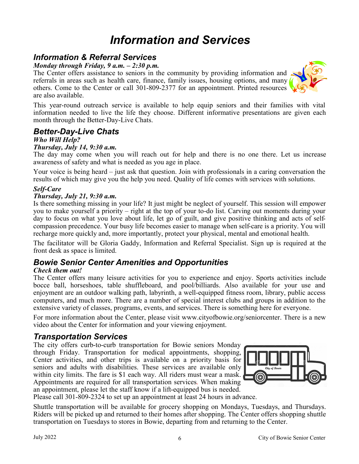## *Information and Services*

### *Information & Referral Services*

*Monday through Friday, 9 a.m. – 2:30 p.m.* 

The Center offers assistance to seniors in the community by providing information and referrals in areas such as health care, finance, family issues, housing options, and many others. Come to the Center or call 301-809-2377 for an appointment. Printed resources are also available.



### *Better-Day-Live Chats*

#### *Who Will Help?*

#### *Thursday, July 14, 9:30 a.m.*

The day may come when you will reach out for help and there is no one there. Let us increase awareness of safety and what is needed as you age in place.

Your voice is being heard – just ask that question. Join with professionals in a caring conversation the results of which may give you the help you need. Quality of life comes with services with solutions.

#### *Self-Care*

#### *Thursday, July 21, 9:30 a.m.*

Is there something missing in your life? It just might be neglect of yourself. This session will empower you to make yourself a priority – right at the top of your to-do list. Carving out moments during your day to focus on what you love about life, let go of guilt, and give positive thinking and acts of selfcompassion precedence. Your busy life becomes easier to manage when self-care is a priority. You will recharge more quickly and, more importantly, protect your physical, mental and emotional health.

The facilitator will be Gloria Gaddy, Information and Referral Specialist. Sign up is required at the front desk as space is limited.

### *Bowie Senior Center Amenities and Opportunities*

#### *Check them out!*

The Center offers many leisure activities for you to experience and enjoy. Sports activities include bocce ball, horseshoes, table shuffleboard, and pool/billiards. Also available for your use and enjoyment are an outdoor walking path, labyrinth, a well-equipped fitness room, library, public access computers, and much more. There are a number of special interest clubs and groups in addition to the extensive variety of classes, programs, events, and services. There is something here for everyone.

For more information about the Center, please visit www.cityofbowie.org/seniorcenter. There is a new video about the Center for information and your viewing enjoyment.

#### *Transportation Services*

The city offers curb-to-curb transportation for Bowie seniors Monday through Friday. Transportation for medical appointments, shopping, Center activities, and other trips is available on a priority basis for seniors and adults with disabilities. These services are available only within city limits. The fare is \$1 each way. All riders must wear a mask. Appointments are required for all transportation services. When making an appointment, please let the staff know if a lift-equipped bus is needed.



Please call 301-809-2324 to set up an appointment at least 24 hours in advance.

Shuttle transportation will be available for grocery shopping on Mondays, Tuesdays, and Thursdays. Riders will be picked up and returned to their homes after shopping. The Center offers shopping shuttle transportation on Tuesdays to stores in Bowie, departing from and returning to the Center.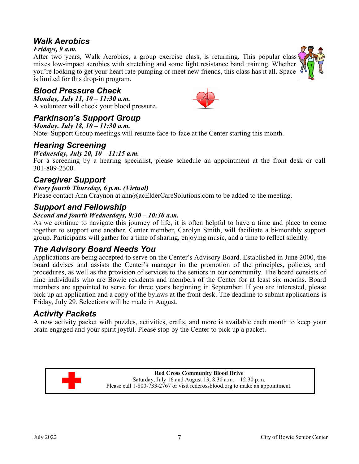### *Walk Aerobics*

#### *Fridays, 9 a.m.*

After two years, Walk Aerobics, a group exercise class, is returning. This popular class mixes low-impact aerobics with stretching and some light resistance band training. Whether you're looking to get your heart rate pumping or meet new friends, this class has it all. Space is limited for this drop-in program.

### *Blood Pressure Check*

*Monday, July 11, 10 – 11:30 a.m.* A volunteer will check your blood pressure.

### *Parkinson's Support Group*

*Monday, July 18, 10 – 11:30 a.m.*

Note: Support Group meetings will resume face-to-face at the Center starting this month.

#### *Hearing Screening*

#### *Wednesday, July 20, 10 – 11:15 a.m.*

For a screening by a hearing specialist, please schedule an appointment at the front desk or call 301-809-2300.

#### *Caregiver Support*

#### *Every fourth Thursday, 6 p.m. (Virtual)*

Please contact Ann Craynon at ann@acElderCareSolutions.com to be added to the meeting.

#### *Support and Fellowship*

#### *Second and fourth Wednesdays, 9:30 – 10:30 a.m.*

As we continue to navigate this journey of life, it is often helpful to have a time and place to come together to support one another. Center member, Carolyn Smith, will facilitate a bi-monthly support group. Participants will gather for a time of sharing, enjoying music, and a time to reflect silently.

### *The Advisory Board Needs You*

Applications are being accepted to serve on the Center's Advisory Board. Established in June 2000, the board advises and assists the Center's manager in the promotion of the principles, policies, and procedures, as well as the provision of services to the seniors in our community. The board consists of nine individuals who are Bowie residents and members of the Center for at least six months. Board members are appointed to serve for three years beginning in September. If you are interested, please pick up an application and a copy of the bylaws at the front desk. The deadline to submit applications is Friday, July 29. Selections will be made in August.

#### *Activity Packets*

A new activity packet with puzzles, activities, crafts, and more is available each month to keep your brain engaged and your spirit joyful. Please stop by the Center to pick up a packet.



**Red Cross Community Blood Drive** Saturday, July 16 and August 13, 8:30 a.m. – 12:30 p.m. Please call 1-800-733-2767 or visit redcrossblood.org to make an appointment.